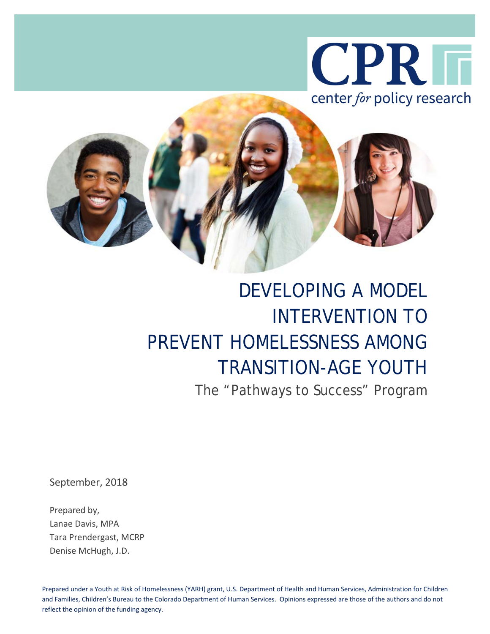



# DEVELOPING A MODEL INTERVENTION TO PREVENT HOMELESSNESS AMONG TRANSITION-AGE YOUTH

The "Pathways to Success" Program

September, 2018

Prepared by, Lanae Davis, MPA Tara Prendergast, MCRP Denise McHugh, J.D.

Prepared under a Youth at Risk of Homelessness (YARH) grant, U.S. Department of Health and Human Services, Administration for Children and Families, Children's Bureau to the Colorado Department of Human Services. Opinions expressed are those of the authors and do not reflect the opinion of the funding agency.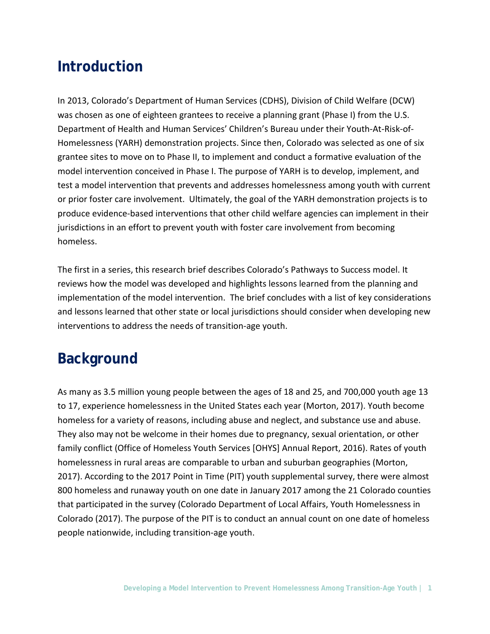# **Introduction**

In 2013, Colorado's Department of Human Services (CDHS), Division of Child Welfare (DCW) was chosen as one of eighteen grantees to receive a planning grant (Phase I) from the U.S. Department of Health and Human Services' Children's Bureau under their Youth-At-Risk-of-Homelessness (YARH) demonstration projects. Since then, Colorado was selected as one of six grantee sites to move on to Phase II, to implement and conduct a formative evaluation of the model intervention conceived in Phase I. The purpose of YARH is to develop, implement, and test a model intervention that prevents and addresses homelessness among youth with current or prior foster care involvement. Ultimately, the goal of the YARH demonstration projects is to produce evidence-based interventions that other child welfare agencies can implement in their jurisdictions in an effort to prevent youth with foster care involvement from becoming homeless.

The first in a series, this research brief describes Colorado's Pathways to Success model. It reviews how the model was developed and highlights lessons learned from the planning and implementation of the model intervention. The brief concludes with a list of key considerations and lessons learned that other state or local jurisdictions should consider when developing new interventions to address the needs of transition-age youth.

# **Background**

As many as 3.5 million young people between the ages of 18 and 25, and 700,000 youth age 13 to 17, experience homelessness in the United States each year (Morton, 2017). Youth become homeless for a variety of reasons, including abuse and neglect, and substance use and abuse. They also may not be welcome in their homes due to pregnancy, sexual orientation, or other family conflict (Office of Homeless Youth Services [OHYS] Annual Report, 2016). Rates of youth homelessness in rural areas are comparable to urban and suburban geographies (Morton, 2017). According to the 2017 Point in Time (PIT) youth supplemental survey, there were almost 800 homeless and runaway youth on one date in January 2017 among the 21 Colorado counties that participated in the survey (Colorado Department of Local Affairs, Youth Homelessness in Colorado (2017). The purpose of the PIT is to conduct an annual count on one date of homeless people nationwide, including transition-age youth.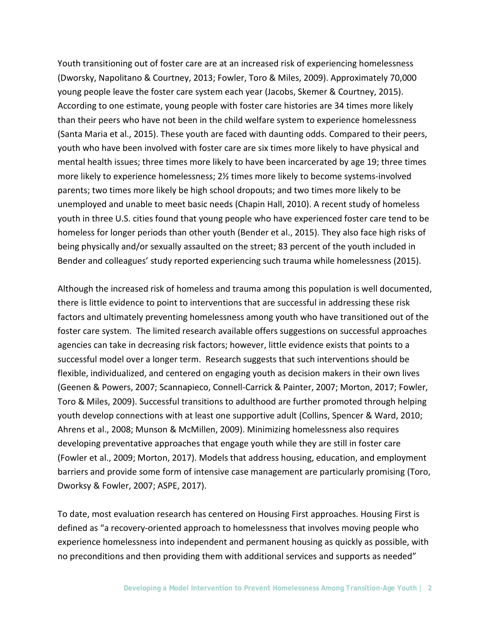Youth transitioning out of foster care are at an increased risk of experiencing homelessness (Dworsky, Napolitano & Courtney, 2013; Fowler, Toro & Miles, 2009). Approximately 70,000 young people leave the foster care system each year (Jacobs, Skemer & Courtney, 2015). According to one estimate, young people with foster care histories are 34 times more likely than their peers who have not been in the child welfare system to experience homelessness (Santa Maria et al., 2015). These youth are faced with daunting odds. Compared to their peers, youth who have been involved with foster care are six times more likely to have physical and mental health issues; three times more likely to have been incarcerated by age 19; three times more likely to experience homelessness; 2½ times more likely to become systems-involved parents; two times more likely be high school dropouts; and two times more likely to be unemployed and unable to meet basic needs (Chapin Hall, 2010). A recent study of homeless youth in three U.S. cities found that young people who have experienced foster care tend to be homeless for longer periods than other youth (Bender et al., 2015). They also face high risks of being physically and/or sexually assaulted on the street; 83 percent of the youth included in Bender and colleagues' study reported experiencing such trauma while homelessness (2015).

Although the increased risk of homeless and trauma among this population is well documented, there is little evidence to point to interventions that are successful in addressing these risk factors and ultimately preventing homelessness among youth who have transitioned out of the foster care system. The limited research available offers suggestions on successful approaches agencies can take in decreasing risk factors; however, little evidence exists that points to a successful model over a longer term. Research suggests that such interventions should be flexible, individualized, and centered on engaging youth as decision makers in their own lives (Geenen & Powers, 2007; Scannapieco, Connell-Carrick & Painter, 2007; Morton, 2017; Fowler, Toro & Miles, 2009). Successful transitions to adulthood are further promoted through helping youth develop connections with at least one supportive adult (Collins, Spencer & Ward, 2010; Ahrens et al., 2008; Munson & McMillen, 2009). Minimizing homelessness also requires developing preventative approaches that engage youth while they are still in foster care (Fowler et al., 2009; Morton, 2017). Models that address housing, education, and employment barriers and provide some form of intensive case management are particularly promising (Toro, Dworksy & Fowler, 2007; ASPE, 2017).

To date, most evaluation research has centered on Housing First approaches. Housing First is defined as "a recovery-oriented approach to homelessness that involves moving people who experience homelessness into independent and permanent housing as quickly as possible, with no preconditions and then providing them with additional services and supports as needed"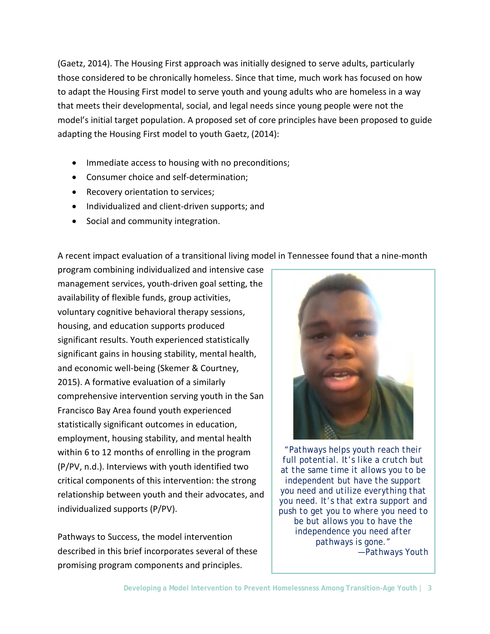(Gaetz, 2014). The Housing First approach was initially designed to serve adults, particularly those considered to be chronically homeless. Since that time, much work has focused on how to adapt the Housing First model to serve youth and young adults who are homeless in a way that meets their developmental, social, and legal needs since young people were not the model's initial target population. A proposed set of core principles have been proposed to guide adapting the Housing First model to youth Gaetz, (2014):

- Immediate access to housing with no preconditions;
- Consumer choice and self-determination;
- Recovery orientation to services;
- Individualized and client-driven supports; and
- Social and community integration.

A recent impact evaluation of a transitional living model in Tennessee found that a nine-month

program combining individualized and intensive case management services, youth-driven goal setting, the availability of flexible funds, group activities, voluntary cognitive behavioral therapy sessions, housing, and education supports produced significant results. Youth experienced statistically significant gains in housing stability, mental health, and economic well-being (Skemer & Courtney, 2015). A formative evaluation of a similarly comprehensive intervention serving youth in the San Francisco Bay Area found youth experienced statistically significant outcomes in education, employment, housing stability, and mental health within 6 to 12 months of enrolling in the program (P/PV, n.d.). Interviews with youth identified two critical components of this intervention: the strong relationship between youth and their advocates, and individualized supports (P/PV).

Pathways to Success, the model intervention described in this brief incorporates several of these promising program components and principles.



*"Pathways helps youth reach their full potential. It's like a crutch but at the same time it allows you to be independent but have the support you need and utilize everything that you need. It's that extra support and push to get you to where you need to be but allows you to have the independence you need after pathways is gone." ―Pathways Youth*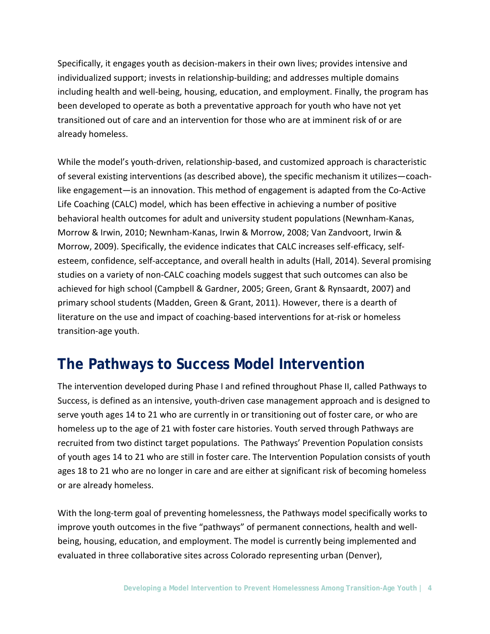Specifically, it engages youth as decision-makers in their own lives; provides intensive and individualized support; invests in relationship-building; and addresses multiple domains including health and well-being, housing, education, and employment. Finally, the program has been developed to operate as both a preventative approach for youth who have not yet transitioned out of care and an intervention for those who are at imminent risk of or are already homeless.

While the model's youth-driven, relationship-based, and customized approach is characteristic of several existing interventions (as described above), the specific mechanism it utilizes―coachlike engagement―is an innovation. This method of engagement is adapted from the Co-Active Life Coaching (CALC) model, which has been effective in achieving a number of positive behavioral health outcomes for adult and university student populations (Newnham-Kanas, Morrow & Irwin, 2010; Newnham-Kanas, Irwin & Morrow, 2008; Van Zandvoort, Irwin & Morrow, 2009). Specifically, the evidence indicates that CALC increases self-efficacy, selfesteem, confidence, self-acceptance, and overall health in adults (Hall, 2014). Several promising studies on a variety of non-CALC coaching models suggest that such outcomes can also be achieved for high school (Campbell & Gardner, 2005; Green, Grant & Rynsaardt, 2007) and primary school students (Madden, Green & Grant, 2011). However, there is a dearth of literature on the use and impact of coaching-based interventions for at-risk or homeless transition-age youth.

### **The Pathways to Success Model Intervention**

The intervention developed during Phase I and refined throughout Phase II, called Pathways to Success, is defined as an intensive, youth-driven case management approach and is designed to serve youth ages 14 to 21 who are currently in or transitioning out of foster care, or who are homeless up to the age of 21 with foster care histories. Youth served through Pathways are recruited from two distinct target populations. The Pathways' Prevention Population consists of youth ages 14 to 21 who are still in foster care. The Intervention Population consists of youth ages 18 to 21 who are no longer in care and are either at significant risk of becoming homeless or are already homeless.

With the long-term goal of preventing homelessness, the Pathways model specifically works to improve youth outcomes in the five "pathways" of permanent connections, health and wellbeing, housing, education, and employment. The model is currently being implemented and evaluated in three collaborative sites across Colorado representing urban (Denver),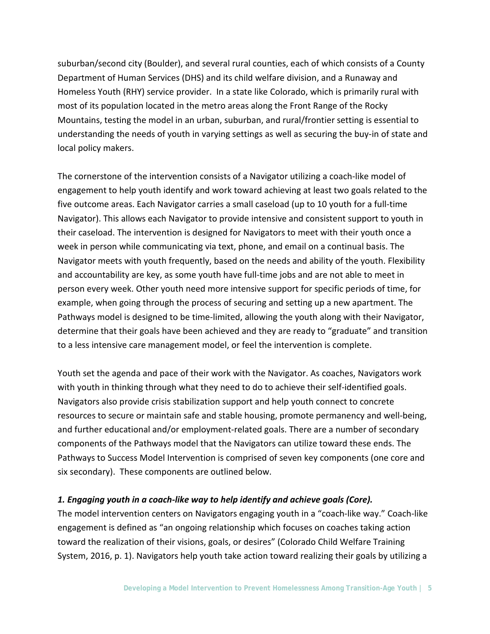suburban/second city (Boulder), and several rural counties, each of which consists of a County Department of Human Services (DHS) and its child welfare division, and a Runaway and Homeless Youth (RHY) service provider. In a state like Colorado, which is primarily rural with most of its population located in the metro areas along the Front Range of the Rocky Mountains, testing the model in an urban, suburban, and rural/frontier setting is essential to understanding the needs of youth in varying settings as well as securing the buy-in of state and local policy makers.

The cornerstone of the intervention consists of a Navigator utilizing a coach-like model of engagement to help youth identify and work toward achieving at least two goals related to the five outcome areas. Each Navigator carries a small caseload (up to 10 youth for a full-time Navigator). This allows each Navigator to provide intensive and consistent support to youth in their caseload. The intervention is designed for Navigators to meet with their youth once a week in person while communicating via text, phone, and email on a continual basis. The Navigator meets with youth frequently, based on the needs and ability of the youth. Flexibility and accountability are key, as some youth have full-time jobs and are not able to meet in person every week. Other youth need more intensive support for specific periods of time, for example, when going through the process of securing and setting up a new apartment. The Pathways model is designed to be time-limited, allowing the youth along with their Navigator, determine that their goals have been achieved and they are ready to "graduate" and transition to a less intensive care management model, or feel the intervention is complete.

Youth set the agenda and pace of their work with the Navigator. As coaches, Navigators work with youth in thinking through what they need to do to achieve their self-identified goals. Navigators also provide crisis stabilization support and help youth connect to concrete resources to secure or maintain safe and stable housing, promote permanency and well-being, and further educational and/or employment-related goals. There are a number of secondary components of the Pathways model that the Navigators can utilize toward these ends. The Pathways to Success Model Intervention is comprised of seven key components (one core and six secondary). These components are outlined below.

#### *1. Engaging youth in a coach-like way to help identify and achieve goals (Core).*

The model intervention centers on Navigators engaging youth in a "coach-like way." Coach-like engagement is defined as "an ongoing relationship which focuses on coaches taking action toward the realization of their visions, goals, or desires" (Colorado Child Welfare Training System, 2016, p. 1). Navigators help youth take action toward realizing their goals by utilizing a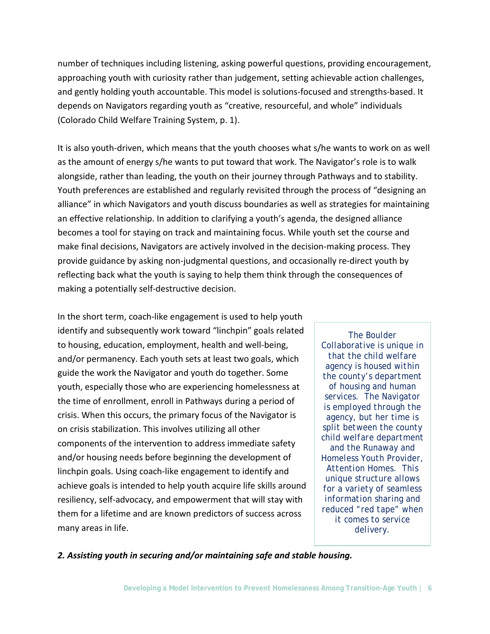number of techniques including listening, asking powerful questions, providing encouragement, approaching youth with curiosity rather than judgement, setting achievable action challenges, and gently holding youth accountable. This model is solutions-focused and strengths-based. It depends on Navigators regarding youth as "creative, resourceful, and whole" individuals (Colorado Child Welfare Training System, p. 1).

It is also youth-driven, which means that the youth chooses what s/he wants to work on as well as the amount of energy s/he wants to put toward that work. The Navigator's role is to walk alongside, rather than leading, the youth on their journey through Pathways and to stability. Youth preferences are established and regularly revisited through the process of "designing an alliance" in which Navigators and youth discuss boundaries as well as strategies for maintaining an effective relationship. In addition to clarifying a youth's agenda, the designed alliance becomes a tool for staying on track and maintaining focus. While youth set the course and make final decisions, Navigators are actively involved in the decision-making process. They provide guidance by asking non-judgmental questions, and occasionally re-direct youth by reflecting back what the youth is saying to help them think through the consequences of making a potentially self-destructive decision.

In the short term, coach-like engagement is used to help youth identify and subsequently work toward "linchpin" goals related to housing, education, employment, health and well-being, and/or permanency. Each youth sets at least two goals, which guide the work the Navigator and youth do together. Some youth, especially those who are experiencing homelessness at the time of enrollment, enroll in Pathways during a period of crisis. When this occurs, the primary focus of the Navigator is on crisis stabilization. This involves utilizing all other components of the intervention to address immediate safety and/or housing needs before beginning the development of linchpin goals. Using coach-like engagement to identify and achieve goals is intended to help youth acquire life skills around resiliency, self-advocacy, and empowerment that will stay with them for a lifetime and are known predictors of success across many areas in life.

*The Boulder Collaborative is unique in that the child welfare agency is housed within the county's department of housing and human services. The Navigator is employed through the agency, but her time is split between the county child welfare department and the Runaway and Homeless Youth Provider, Attention Homes. This unique structure allows for a variety of seamless information sharing and reduced "red tape" when it comes to service delivery.*

*2. Assisting youth in securing and/or maintaining safe and stable housing.*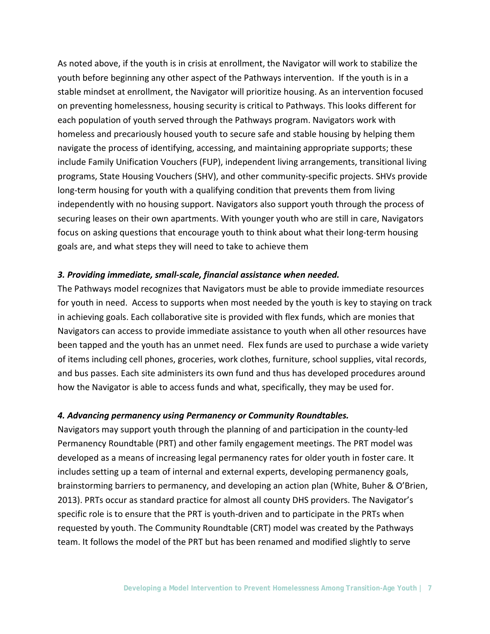As noted above, if the youth is in crisis at enrollment, the Navigator will work to stabilize the youth before beginning any other aspect of the Pathways intervention. If the youth is in a stable mindset at enrollment, the Navigator will prioritize housing. As an intervention focused on preventing homelessness, housing security is critical to Pathways. This looks different for each population of youth served through the Pathways program. Navigators work with homeless and precariously housed youth to secure safe and stable housing by helping them navigate the process of identifying, accessing, and maintaining appropriate supports; these include Family Unification Vouchers (FUP), independent living arrangements, transitional living programs, State Housing Vouchers (SHV), and other community-specific projects. SHVs provide long-term housing for youth with a qualifying condition that prevents them from living independently with no housing support. Navigators also support youth through the process of securing leases on their own apartments. With younger youth who are still in care, Navigators focus on asking questions that encourage youth to think about what their long-term housing goals are, and what steps they will need to take to achieve them

#### *3. Providing immediate, small-scale, financial assistance when needed.*

The Pathways model recognizes that Navigators must be able to provide immediate resources for youth in need. Access to supports when most needed by the youth is key to staying on track in achieving goals. Each collaborative site is provided with flex funds, which are monies that Navigators can access to provide immediate assistance to youth when all other resources have been tapped and the youth has an unmet need. Flex funds are used to purchase a wide variety of items including cell phones, groceries, work clothes, furniture, school supplies, vital records, and bus passes. Each site administers its own fund and thus has developed procedures around how the Navigator is able to access funds and what, specifically, they may be used for.

#### *4. Advancing permanency using Permanency or Community Roundtables.*

Navigators may support youth through the planning of and participation in the county-led Permanency Roundtable (PRT) and other family engagement meetings. The PRT model was developed as a means of increasing legal permanency rates for older youth in foster care. It includes setting up a team of internal and external experts, developing permanency goals, brainstorming barriers to permanency, and developing an action plan (White, Buher & O'Brien, 2013). PRTs occur as standard practice for almost all county DHS providers. The Navigator's specific role is to ensure that the PRT is youth-driven and to participate in the PRTs when requested by youth. The Community Roundtable (CRT) model was created by the Pathways team. It follows the model of the PRT but has been renamed and modified slightly to serve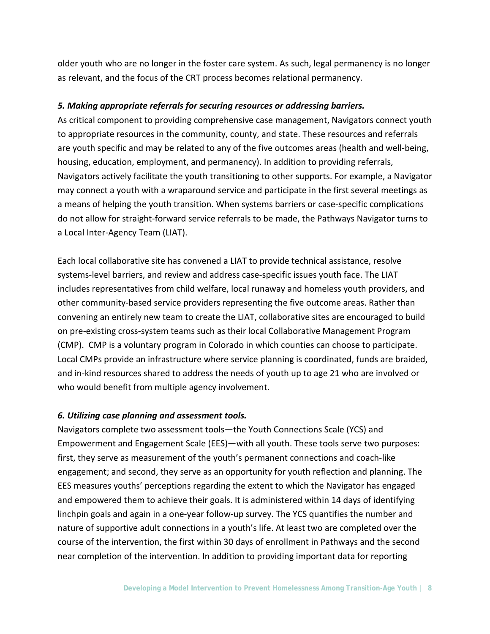older youth who are no longer in the foster care system. As such, legal permanency is no longer as relevant, and the focus of the CRT process becomes relational permanency.

#### *5. Making appropriate referrals for securing resources or addressing barriers.*

As critical component to providing comprehensive case management, Navigators connect youth to appropriate resources in the community, county, and state. These resources and referrals are youth specific and may be related to any of the five outcomes areas (health and well-being, housing, education, employment, and permanency). In addition to providing referrals, Navigators actively facilitate the youth transitioning to other supports. For example, a Navigator may connect a youth with a wraparound service and participate in the first several meetings as a means of helping the youth transition. When systems barriers or case-specific complications do not allow for straight-forward service referrals to be made, the Pathways Navigator turns to a Local Inter-Agency Team (LIAT).

Each local collaborative site has convened a LIAT to provide technical assistance, resolve systems-level barriers, and review and address case-specific issues youth face. The LIAT includes representatives from child welfare, local runaway and homeless youth providers, and other community-based service providers representing the five outcome areas. Rather than convening an entirely new team to create the LIAT, collaborative sites are encouraged to build on pre-existing cross-system teams such as their local Collaborative Management Program (CMP). CMP is a voluntary program in Colorado in which counties can choose to participate. Local CMPs provide an infrastructure where service planning is coordinated, funds are braided, and in-kind resources shared to address the needs of youth up to age 21 who are involved or who would benefit from multiple agency involvement.

#### *6. Utilizing case planning and assessment tools.*

Navigators complete two assessment tools―the Youth Connections Scale (YCS) and Empowerment and Engagement Scale (EES)―with all youth. These tools serve two purposes: first, they serve as measurement of the youth's permanent connections and coach-like engagement; and second, they serve as an opportunity for youth reflection and planning. The EES measures youths' perceptions regarding the extent to which the Navigator has engaged and empowered them to achieve their goals. It is administered within 14 days of identifying linchpin goals and again in a one-year follow-up survey. The YCS quantifies the number and nature of supportive adult connections in a youth's life. At least two are completed over the course of the intervention, the first within 30 days of enrollment in Pathways and the second near completion of the intervention. In addition to providing important data for reporting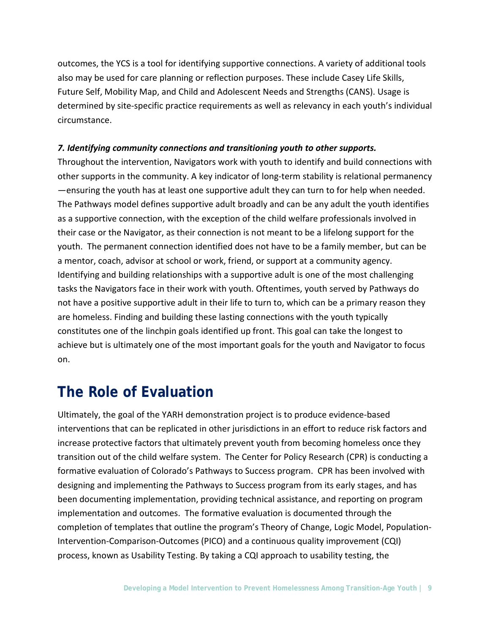outcomes, the YCS is a tool for identifying supportive connections. A variety of additional tools also may be used for care planning or reflection purposes. These include Casey Life Skills, Future Self, Mobility Map, and Child and Adolescent Needs and Strengths (CANS). Usage is determined by site-specific practice requirements as well as relevancy in each youth's individual circumstance.

#### *7. Identifying community connections and transitioning youth to other supports.*

Throughout the intervention, Navigators work with youth to identify and build connections with other supports in the community. A key indicator of long-term stability is relational permanency —ensuring the youth has at least one supportive adult they can turn to for help when needed. The Pathways model defines supportive adult broadly and can be any adult the youth identifies as a supportive connection, with the exception of the child welfare professionals involved in their case or the Navigator, as their connection is not meant to be a lifelong support for the youth. The permanent connection identified does not have to be a family member, but can be a mentor, coach, advisor at school or work, friend, or support at a community agency. Identifying and building relationships with a supportive adult is one of the most challenging tasks the Navigators face in their work with youth. Oftentimes, youth served by Pathways do not have a positive supportive adult in their life to turn to, which can be a primary reason they are homeless. Finding and building these lasting connections with the youth typically constitutes one of the linchpin goals identified up front. This goal can take the longest to achieve but is ultimately one of the most important goals for the youth and Navigator to focus on.

# **The Role of Evaluation**

Ultimately, the goal of the YARH demonstration project is to produce evidence-based interventions that can be replicated in other jurisdictions in an effort to reduce risk factors and increase protective factors that ultimately prevent youth from becoming homeless once they transition out of the child welfare system. The Center for Policy Research (CPR) is conducting a formative evaluation of Colorado's Pathways to Success program. CPR has been involved with designing and implementing the Pathways to Success program from its early stages, and has been documenting implementation, providing technical assistance, and reporting on program implementation and outcomes. The formative evaluation is documented through the completion of templates that outline the program's Theory of Change, Logic Model, Population-Intervention-Comparison-Outcomes (PICO) and a continuous quality improvement (CQI) process, known as Usability Testing. By taking a CQI approach to usability testing, the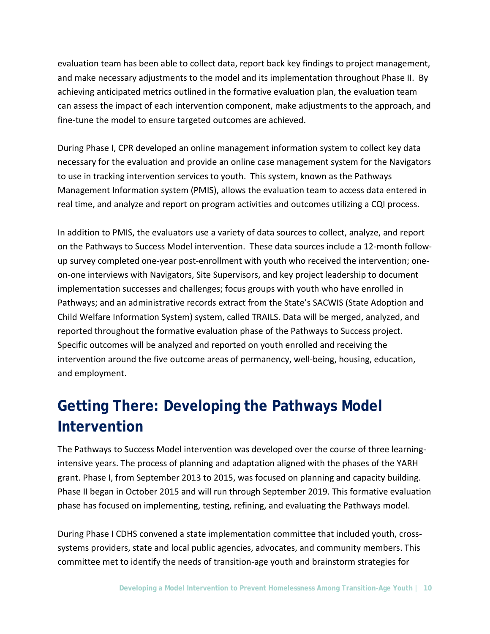evaluation team has been able to collect data, report back key findings to project management, and make necessary adjustments to the model and its implementation throughout Phase II. By achieving anticipated metrics outlined in the formative evaluation plan, the evaluation team can assess the impact of each intervention component, make adjustments to the approach, and fine-tune the model to ensure targeted outcomes are achieved.

During Phase I, CPR developed an online management information system to collect key data necessary for the evaluation and provide an online case management system for the Navigators to use in tracking intervention services to youth. This system, known as the Pathways Management Information system (PMIS), allows the evaluation team to access data entered in real time, and analyze and report on program activities and outcomes utilizing a CQI process.

In addition to PMIS, the evaluators use a variety of data sources to collect, analyze, and report on the Pathways to Success Model intervention. These data sources include a 12-month followup survey completed one-year post-enrollment with youth who received the intervention; oneon-one interviews with Navigators, Site Supervisors, and key project leadership to document implementation successes and challenges; focus groups with youth who have enrolled in Pathways; and an administrative records extract from the State's SACWIS (State Adoption and Child Welfare Information System) system, called TRAILS. Data will be merged, analyzed, and reported throughout the formative evaluation phase of the Pathways to Success project. Specific outcomes will be analyzed and reported on youth enrolled and receiving the intervention around the five outcome areas of permanency, well-being, housing, education, and employment.

# **Getting There: Developing the Pathways Model Intervention**

The Pathways to Success Model intervention was developed over the course of three learningintensive years. The process of planning and adaptation aligned with the phases of the YARH grant. Phase I, from September 2013 to 2015, was focused on planning and capacity building. Phase II began in October 2015 and will run through September 2019. This formative evaluation phase has focused on implementing, testing, refining, and evaluating the Pathways model.

During Phase I CDHS convened a state implementation committee that included youth, crosssystems providers, state and local public agencies, advocates, and community members. This committee met to identify the needs of transition-age youth and brainstorm strategies for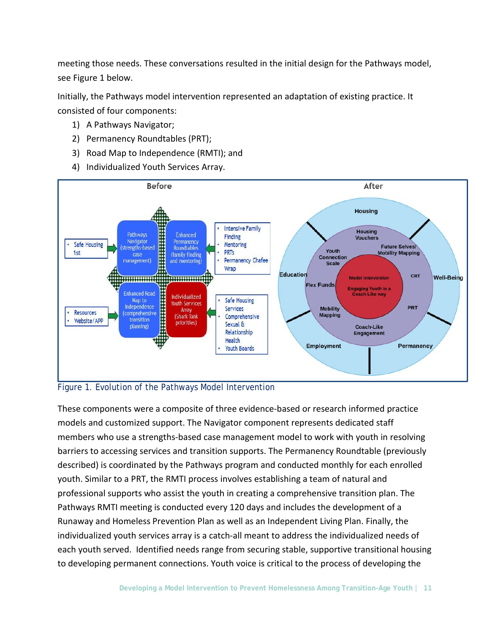meeting those needs. These conversations resulted in the initial design for the Pathways model, see Figure 1 below.

Initially, the Pathways model intervention represented an adaptation of existing practice. It consisted of four components:

- 1) A Pathways Navigator;
- 2) Permanency Roundtables (PRT);
- 3) Road Map to Independence (RMTI); and
- 4) Individualized Youth Services Array.



#### Figure 1. Evolution of the Pathways Model Intervention

These components were a composite of three evidence-based or research informed practice models and customized support. The Navigator component represents dedicated staff members who use a strengths-based case management model to work with youth in resolving barriers to accessing services and transition supports. The Permanency Roundtable (previously described) is coordinated by the Pathways program and conducted monthly for each enrolled youth. Similar to a PRT, the RMTI process involves establishing a team of natural and professional supports who assist the youth in creating a comprehensive transition plan. The Pathways RMTI meeting is conducted every 120 days and includes the development of a Runaway and Homeless Prevention Plan as well as an Independent Living Plan. Finally, the individualized youth services array is a catch-all meant to address the individualized needs of each youth served. Identified needs range from securing stable, supportive transitional housing to developing permanent connections. Youth voice is critical to the process of developing the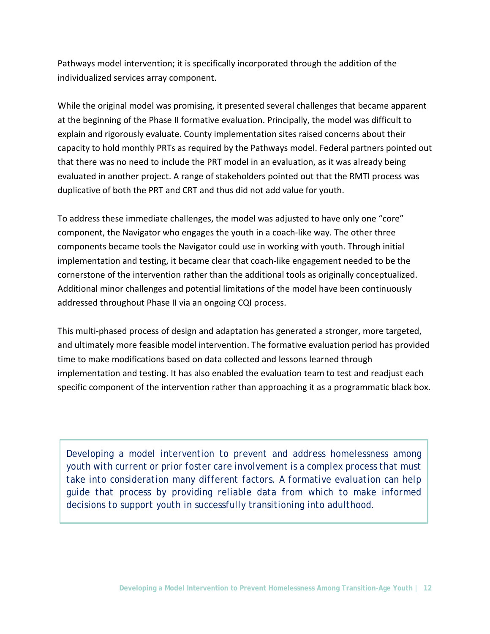Pathways model intervention; it is specifically incorporated through the addition of the individualized services array component.

While the original model was promising, it presented several challenges that became apparent at the beginning of the Phase II formative evaluation. Principally, the model was difficult to explain and rigorously evaluate. County implementation sites raised concerns about their capacity to hold monthly PRTs as required by the Pathways model. Federal partners pointed out that there was no need to include the PRT model in an evaluation, as it was already being evaluated in another project. A range of stakeholders pointed out that the RMTI process was duplicative of both the PRT and CRT and thus did not add value for youth.

To address these immediate challenges, the model was adjusted to have only one "core" component, the Navigator who engages the youth in a coach-like way. The other three components became tools the Navigator could use in working with youth. Through initial implementation and testing, it became clear that coach-like engagement needed to be the cornerstone of the intervention rather than the additional tools as originally conceptualized. Additional minor challenges and potential limitations of the model have been continuously addressed throughout Phase II via an ongoing CQI process.

This multi-phased process of design and adaptation has generated a stronger, more targeted, and ultimately more feasible model intervention. The formative evaluation period has provided time to make modifications based on data collected and lessons learned through implementation and testing. It has also enabled the evaluation team to test and readjust each specific component of the intervention rather than approaching it as a programmatic black box.

*Developing a model intervention to prevent and address homelessness among youth with current or prior foster care involvement is a complex process that must take into consideration many different factors. A formative evaluation can help guide that process by providing reliable data from which to make informed decisions to support youth in successfully transitioning into adulthood.*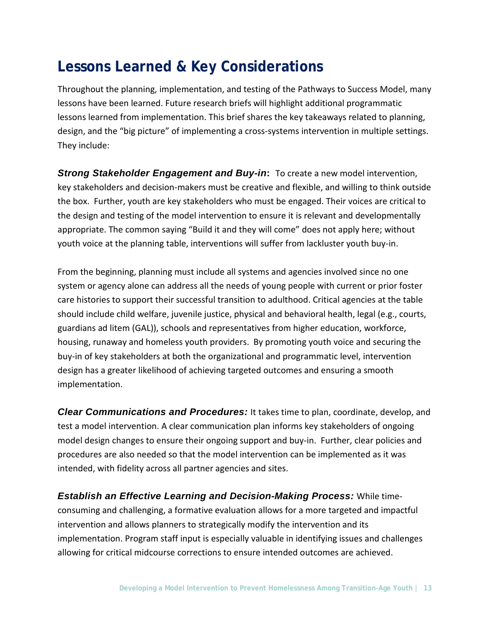# **Lessons Learned & Key Considerations**

Throughout the planning, implementation, and testing of the Pathways to Success Model, many lessons have been learned. Future research briefs will highlight additional programmatic lessons learned from implementation. This brief shares the key takeaways related to planning, design, and the "big picture" of implementing a cross-systems intervention in multiple settings. They include:

*Strong Stakeholder Engagement and Buy-in***:** To create a new model intervention, key stakeholders and decision-makers must be creative and flexible, and willing to think outside the box. Further, youth are key stakeholders who must be engaged. Their voices are critical to the design and testing of the model intervention to ensure it is relevant and developmentally appropriate. The common saying "Build it and they will come" does not apply here; without youth voice at the planning table, interventions will suffer from lackluster youth buy-in.

From the beginning, planning must include all systems and agencies involved since no one system or agency alone can address all the needs of young people with current or prior foster care histories to support their successful transition to adulthood. Critical agencies at the table should include child welfare, juvenile justice, physical and behavioral health, legal (e.g., courts, guardians ad litem (GAL)), schools and representatives from higher education, workforce, housing, runaway and homeless youth providers. By promoting youth voice and securing the buy-in of key stakeholders at both the organizational and programmatic level, intervention design has a greater likelihood of achieving targeted outcomes and ensuring a smooth implementation.

*Clear Communications and Procedures:* It takes time to plan, coordinate, develop, and test a model intervention. A clear communication plan informs key stakeholders of ongoing model design changes to ensure their ongoing support and buy-in. Further, clear policies and procedures are also needed so that the model intervention can be implemented as it was intended, with fidelity across all partner agencies and sites.

*Establish an Effective Learning and Decision-Making Process:* While timeconsuming and challenging, a formative evaluation allows for a more targeted and impactful intervention and allows planners to strategically modify the intervention and its implementation. Program staff input is especially valuable in identifying issues and challenges allowing for critical midcourse corrections to ensure intended outcomes are achieved.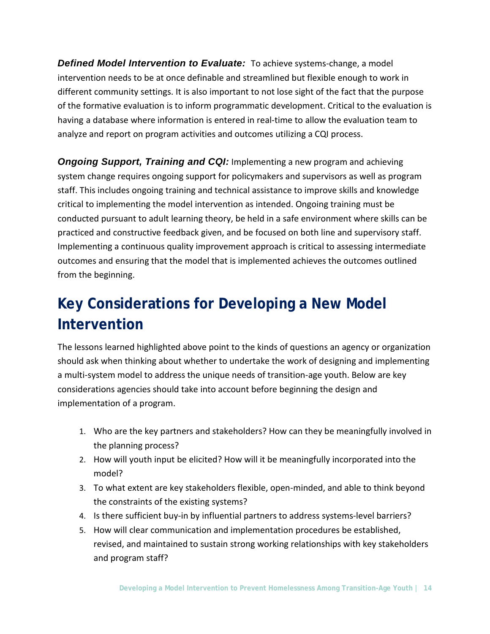*Defined Model Intervention to Evaluate:* To achieve systems-change, a model intervention needs to be at once definable and streamlined but flexible enough to work in different community settings. It is also important to not lose sight of the fact that the purpose of the formative evaluation is to inform programmatic development. Critical to the evaluation is having a database where information is entered in real-time to allow the evaluation team to analyze and report on program activities and outcomes utilizing a CQI process.

*Ongoing Support, Training and CQI:* Implementing a new program and achieving system change requires ongoing support for policymakers and supervisors as well as program staff. This includes ongoing training and technical assistance to improve skills and knowledge critical to implementing the model intervention as intended. Ongoing training must be conducted pursuant to adult learning theory, be held in a safe environment where skills can be practiced and constructive feedback given, and be focused on both line and supervisory staff. Implementing a continuous quality improvement approach is critical to assessing intermediate outcomes and ensuring that the model that is implemented achieves the outcomes outlined from the beginning.

# **Key Considerations for Developing a New Model Intervention**

The lessons learned highlighted above point to the kinds of questions an agency or organization should ask when thinking about whether to undertake the work of designing and implementing a multi-system model to address the unique needs of transition-age youth. Below are key considerations agencies should take into account before beginning the design and implementation of a program.

- 1. Who are the key partners and stakeholders? How can they be meaningfully involved in the planning process?
- 2. How will youth input be elicited? How will it be meaningfully incorporated into the model?
- 3. To what extent are key stakeholders flexible, open-minded, and able to think beyond the constraints of the existing systems?
- 4. Is there sufficient buy-in by influential partners to address systems-level barriers?
- 5. How will clear communication and implementation procedures be established, revised, and maintained to sustain strong working relationships with key stakeholders and program staff?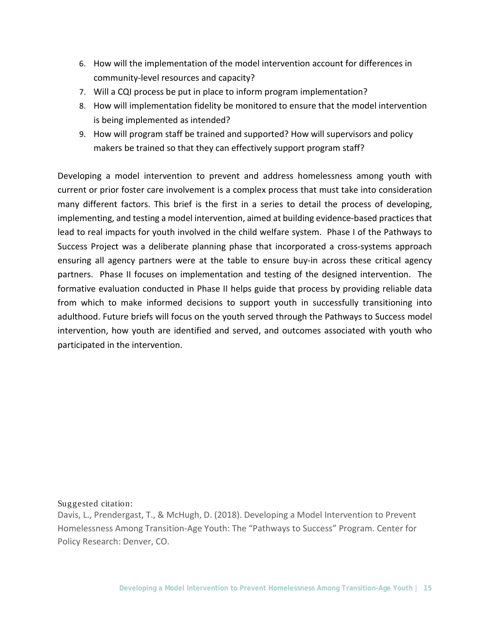- 6. How will the implementation of the model intervention account for differences in community-level resources and capacity?
- 7. Will a CQI process be put in place to inform program implementation?
- 8. How will implementation fidelity be monitored to ensure that the model intervention is being implemented as intended?
- 9. How will program staff be trained and supported? How will supervisors and policy makers be trained so that they can effectively support program staff?

Developing a model intervention to prevent and address homelessness among youth with current or prior foster care involvement is a complex process that must take into consideration many different factors. This brief is the first in a series to detail the process of developing, implementing, and testing a model intervention, aimed at building evidence-based practices that lead to real impacts for youth involved in the child welfare system. Phase I of the Pathways to Success Project was a deliberate planning phase that incorporated a cross-systems approach ensuring all agency partners were at the table to ensure buy-in across these critical agency partners. Phase II focuses on implementation and testing of the designed intervention. The formative evaluation conducted in Phase II helps guide that process by providing reliable data from which to make informed decisions to support youth in successfully transitioning into adulthood. Future briefs will focus on the youth served through the Pathways to Success model intervention, how youth are identified and served, and outcomes associated with youth who participated in the intervention.

#### Suggested citation:

Davis, L., Prendergast, T., & McHugh, D. (2018). Developing a Model Intervention to Prevent Homelessness Among Transition-Age Youth: The "Pathways to Success" Program. Center for Policy Research: Denver, CO.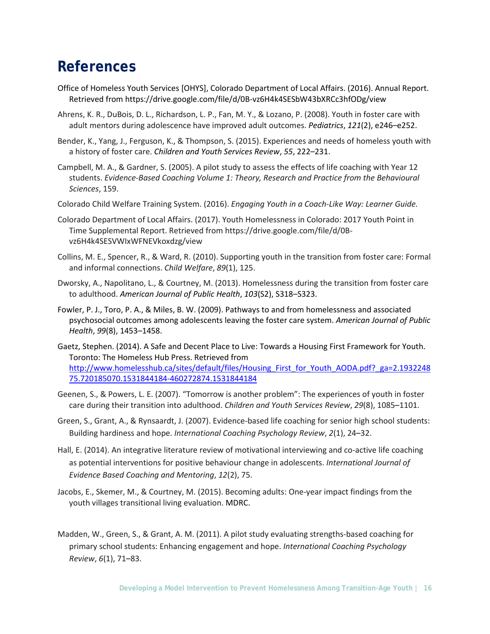### **References**

- Office of Homeless Youth Services [OHYS], Colorado Department of Local Affairs. (2016). Annual Report. Retrieved from https://drive.google.com/file/d/0B-vz6H4k4SESbW43bXRCc3hfODg/view
- Ahrens, K. R., DuBois, D. L., Richardson, L. P., Fan, M. Y., & Lozano, P. (2008). Youth in foster care with adult mentors during adolescence have improved adult outcomes. *Pediatrics*, *121*(2), e246–e252.
- Bender, K., Yang, J., Ferguson, K., & Thompson, S. (2015). Experiences and needs of homeless youth with a history of foster care. *Children and Youth Services Review*, *55*, 222–231.
- Campbell, M. A., & Gardner, S. (2005). A pilot study to assess the effects of life coaching with Year 12 students. *Evidence-Based Coaching Volume 1: Theory, Research and Practice from the Behavioural Sciences*, 159.
- Colorado Child Welfare Training System. (2016). *Engaging Youth in a Coach-Like Way: Learner Guide.*
- Colorado Department of Local Affairs. (2017). Youth Homelessness in Colorado: 2017 Youth Point in Time Supplemental Report. Retrieved from https://drive.google.com/file/d/0Bvz6H4k4SESVWIxWFNEVkoxdzg/view
- Collins, M. E., Spencer, R., & Ward, R. (2010). Supporting youth in the transition from foster care: Formal and informal connections. *Child Welfare*, *89*(1), 125.
- Dworsky, A., Napolitano, L., & Courtney, M. (2013). Homelessness during the transition from foster care to adulthood. *American Journal of Public Health*, *103*(S2), S318–S323.
- Fowler, P. J., Toro, P. A., & Miles, B. W. (2009). Pathways to and from homelessness and associated psychosocial outcomes among adolescents leaving the foster care system. *American Journal of Public Health*, *99*(8), 1453–1458.
- Gaetz, Stephen. (2014). A Safe and Decent Place to Live: Towards a Housing First Framework for Youth. Toronto: The Homeless Hub Press. Retrieved from [http://www.homelesshub.ca/sites/default/files/Housing\\_First\\_for\\_Youth\\_AODA.pdf?\\_ga=2.1932248](http://www.homelesshub.ca/sites/default/files/Housing_First_for_Youth_AODA.pdf?_ga=2.193224875.720185070.1531844184-460272874.1531844184) [75.720185070.1531844184-460272874.1531844184](http://www.homelesshub.ca/sites/default/files/Housing_First_for_Youth_AODA.pdf?_ga=2.193224875.720185070.1531844184-460272874.1531844184)
- Geenen, S., & Powers, L. E. (2007). "Tomorrow is another problem": The experiences of youth in foster care during their transition into adulthood. *Children and Youth Services Review*, *29*(8), 1085–1101.
- Green, S., Grant, A., & Rynsaardt, J. (2007). Evidence-based life coaching for senior high school students: Building hardiness and hope. *International Coaching Psychology Review*, *2*(1), 24–32.
- Hall, E. (2014). An integrative literature review of motivational interviewing and co-active life coaching as potential interventions for positive behaviour change in adolescents. *International Journal of Evidence Based Coaching and Mentoring*, *12*(2), 75.
- Jacobs, E., Skemer, M., & Courtney, M. (2015). Becoming adults: One-year impact findings from the youth villages transitional living evaluation. MDRC.
- Madden, W., Green, S., & Grant, A. M. (2011). A pilot study evaluating strengths-based coaching for primary school students: Enhancing engagement and hope. *International Coaching Psychology Review*, *6*(1), 71–83.